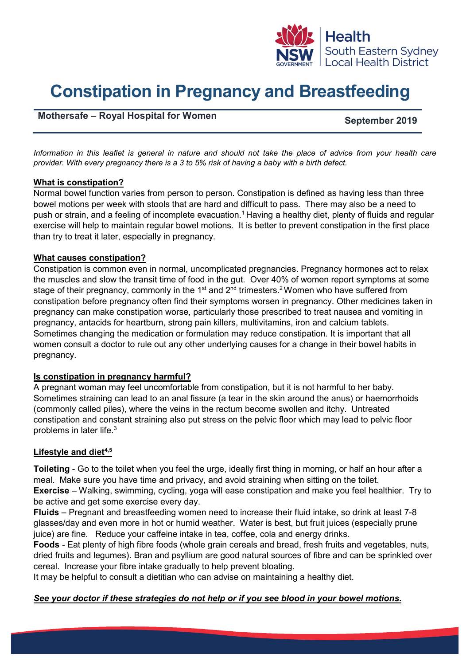

# **Constipation in Pregnancy and Breastfeeding**

## **Mothersafe – Royal Hospital for Women September 2019**

*Information in this leaflet is general in nature and should not take the place of advice from your health care provider. With every pregnancy there is a 3 to 5% risk of having a baby with a birth defect.*

#### **What is constipation?**

Normal bowel function varies from person to person. Constipation is defined as having less than three bowel motions per week with stools that are hard and difficult to pass. There may also be a need to push or strain, and a feeling of incomplete evacuation.<sup>1</sup> Having a healthy diet, plenty of fluids and regular exercise will help to maintain regular bowel motions. It is better to prevent constipation in the first place than try to treat it later, especially in pregnancy.

#### **What causes constipation?**

Constipation is common even in normal, uncomplicated pregnancies. Pregnancy hormones act to relax the muscles and slow the transit time of food in the gut. Over 40% of women report symptoms at some stage of their pregnancy, commonly in the 1<sup>st</sup> and 2<sup>nd</sup> trimesters.<sup>2</sup> Women who have suffered from constipation before pregnancy often find their symptoms worsen in pregnancy. Other medicines taken in pregnancy can make constipation worse, particularly those prescribed to treat nausea and vomiting in pregnancy, antacids for heartburn, strong pain killers, multivitamins, iron and calcium tablets. Sometimes changing the medication or formulation may reduce constipation. It is important that all women consult a doctor to rule out any other underlying causes for a change in their bowel habits in pregnancy.

### **Is constipation in pregnancy harmful?**

A pregnant woman may feel uncomfortable from constipation, but it is not harmful to her baby. Sometimes straining can lead to an anal fissure (a tear in the skin around the anus) or haemorrhoids (commonly called piles), where the veins in the rectum become swollen and itchy. Untreated constipation and constant straining also put stress on the pelvic floor which may lead to pelvic floor problems in later life.3

### **Lifestyle and diet4,5**

**Toileting** - Go to the toilet when you feel the urge, ideally first thing in morning, or half an hour after a meal. Make sure you have time and privacy, and avoid straining when sitting on the toilet. **Exercise** – Walking, swimming, cycling, yoga will ease constipation and make you feel healthier. Try to be active and get some exercise every day.

**Fluids** – Pregnant and breastfeeding women need to increase their fluid intake, so drink at least 7-8 glasses/day and even more in hot or humid weather. Water is best, but fruit juices (especially prune juice) are fine. Reduce your caffeine intake in tea, coffee, cola and energy drinks.

**Foods** - Eat plenty of high fibre foods (whole grain cereals and bread, fresh fruits and vegetables, nuts, dried fruits and legumes). Bran and psyllium are good natural sources of fibre and can be sprinkled over cereal. Increase your fibre intake gradually to help prevent bloating.

It may be helpful to consult a dietitian who can advise on maintaining a healthy diet.

### *See your doctor if these strategies do not help or if you see blood in your bowel motions.*